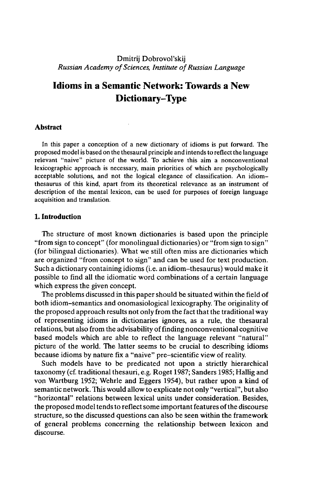## Dmitrij Dobrovol'skij *Russian Academy of Sciences, Institute of Russian Language*

# **Idioms in a Semantic Network: Towards a New Dictionary-Type**

#### **Abstract**

In this paper a conception of a new dictionary of idioms is put forward. The proposed model is based on the thesaural principle and intends to reflect the language relevant "naive" picture of the world. To achieve this aim a nonconventional lexicographic approach is necessary, main priorities of which are psychologically acceptable solutions, and not the logical elegance of classification. An idiomthesaurus of this kind, apart from its theoretical relevance as an instrument of description of the mental lexicon, can be used for purposes of foreign language acquisition and translation.

## **1. Introduction**

The structure of most known dictionaries is based upon the principle "from sign to concept" (for monolingual dictionaries) or "from sign to sign" (for bilingual dictionaries). What we still often miss are dictionaries which are organized "from concept to sign" and can be used for text production. Such a dictionary containing idioms (i.e. an idiom-thesaurus) would make it possible to find all the idiomatic word combinations of a certain language which express the given concept.

The problems discussed in this paper should be situated within the field of both idiom-semantics and onomasiological lexicography. The originality of the proposed approach results not only from the fact that the traditional way of representing idioms in dictionaries ignores, as a rule, the thesaural relations, but also from the advisability of finding nonconventional cognitive based models which are able to reflect the language relevant "natural" picture of the world. The latter seems to be crucial to describing idioms because idioms by nature fix a "naive" pre-scientific view of reality.

Such models have to be predicated not upon a strictly hierarchical taxonomy (cf. traditional thesauri, e.g. Roget 1987; Sanders 1985; Hallig and von Wartburg 1952; Wehrle and Eggers 1954), but rather upon a kind of semantic network. This would allow to explicate not only "vertical", but also "horizontal" relations between lexical units under consideration. Besides, the proposed model tends to reflect some important features of the discourse structure, so the discussed questions can also be seen within the framework of general problems concerning the relationship between lexicon and discourse.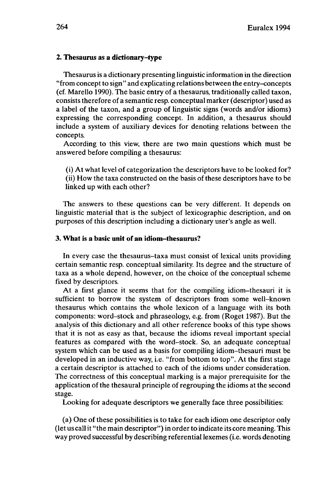#### **2. Thesaurus as a dictionary-type**

Thesaurus is a dictionary presenting linguistic information in the direction "from concept to sign" and explicating relations between the entry-concepts (cf. Marello 1990). The basic entry of a thesaurus, traditionally called taxon, consists therefore of a semantic resp. conceptual marker (descriptor) used as a label of the taxon, and a group of linguistic signs (words and/or idioms) expressing the corresponding concept. In addition, a thesaurus should include a system of auxiliary devices for denoting relations between the concepts.

According to this view, there are two main questions which must be answered before compiling a thesaurus:

(i) At what level of categorization the descriptors have to be looked for? (ii) How the taxa constructed on the basis of these descriptors have to be linked up with each other?

The answers to these questions can be very different. It depends on linguistic material that is the subject of lexicographic description, and on purposes of this description including a dictionary user's angle as well.

### **3. What is a basic unit of an idiom-thesaurus?**

In every case the thesaurus-taxa must consist of lexical units providing certain semantic resp. conceptual similarity. Its degree and the structure of taxa as a whole depend, however, on the choice of the conceptual scheme fixed by descriptors.

At a first glance it seems that for the compiling idiom-thesauri it is sufficient to borrow the system of descriptors from some well-known thesaurus which contains the whole lexicon of a language with its both components: word-stock and phraseology, e.g. from (Roget 1987). But the analysis of this dictionary and all other reference books of this type shows that it is not as easy as that, because the idioms reveal important special features as compared with the word-stock. So, an adequate conceptual system which can be used as a basis for compiling idiom-thesauri must be developed in an inductive way, i.e. "from bottom to top". At the first stage a certain descriptor is attached to each of the idioms under consideration. The correctness of this conceptual marking is a major prerequisite for the application of the thesaural principle of regrouping the idioms at the second stage.

Looking for adequate descriptors we generally face three possibilities:

(a) One of these possibilities is to take for each idiom one descriptor only (let us callit "the main descriptor") in order to indicate its core meaning. This way proved successful by describing referential lexemes (i.e. words denoting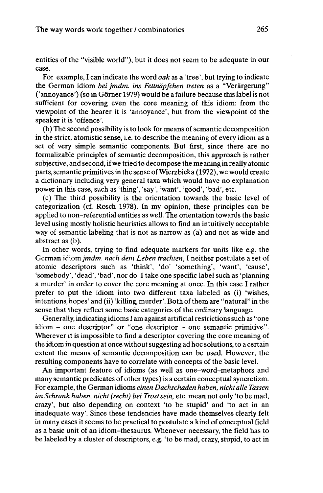entities of the "visible world"), but it does not seem to be adequate in our case.

For example, I can indicate the word *oak* as a 'tree', but trying to indicate the German idiom *bei jmdm. ins Fettnäpfchen treten* as a "Verärgerung" ('annoyance') (so in Görner 1979) would be a failure because this labelis not sufficient for covering even the core meaning of this idiom: from the viewpoint of the hearer it is 'annoyance', but from the viewpoint of the speaker it is 'offence'.

(b) The second possibility is to look for means of semantic decomposition in the strict, atomistic sense, i.e. to describe the meaning of every idiom as a set of very simple semantic components. But first, since there are no formalizable principles of semantic decomposition, this approach is rather subjective, and second, ifwe tried to decompose the meaning in really atomic parts,semantic primitives in the sense ofWierzbicka (1972), we would create a dictionary including very general taxa which would have no explanation power in this case, such as 'thing', 'say', 'want', 'good', 'bad', etc.

(c) The third possibility is the orientation towards the basic level of categorization (cf. Rosch 1978). In my opinion, these principles can be applied to non-referential entities as well. The orientation towards the basic level using mostly holistic heuristics allows to find an intuitively acceptable way of semantic labeling that is not as narrow as (a) and not as wide and abstract as (b).

In other words, trying to find adequate markers for units like e.g. the German idiom *jmdm. nach dem Leben trachten,* I neither postulate a set of atomic descriptors such as 'think', 'do' 'something', 'want', 'cause', 'somebody', 'dead', 'bad', nor do I take one specific label such as 'planning a murder' in order to cover the core meaning at once. In this case I rather prefer to put the idiom into two different taxa labeled as (i) 'wishes, intentions, hopes' and (ii) 'killing, murder'. Both ofthem are "natural" in the sense that they reflect some basic categories of the ordinary language.

Generally, indicating idiomsI am against artificial restrictionssuch as "one idiom - one descriptor" or "one descriptor - one semantic primitive". Wherever it is impossible to find a descriptor covering the core meaning of the idiom in question at once without suggesting ad hoc solutions, to a certain extent the means of semantic decomposition can be used. However, the resulting components have to correlate with concepts of the basic level.

An important feature of idioms (as well as one-word-metaphors and many semantic predicates of other types) is a certain conceptual syncretizm. For example, the German idioms *einen Dachschaden haben, nicht alle Tassen im Schrank haben, nicht (recht) bei Trostsein,* etc. mean not only 'to be mad, crazy', but also depending on context 'to be stupid' and 'to act in an inadequate way'. Since these tendencies have made themselves clearly felt in many cases it seems to be practical to postulate a kind of conceptual field as a basic unit of an idiom-thesaurus. Whenever necessary, the field has to be labeled by a cluster of descriptors, e.g. 'to be mad, crazy, stupid, to act in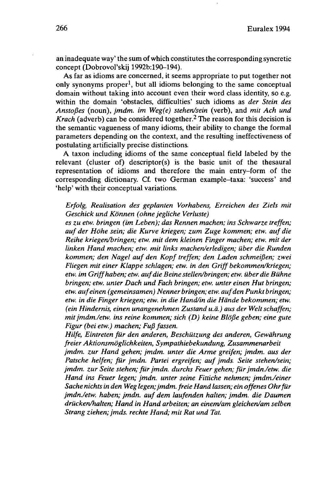an inadequate way' the sum ofwhich constitutes the corresponding syncretic concept (Dobrovol'skij 1992b:190-194).

As far as idioms are concerned, it seems appropriate to put together not only synonyms proper<sup>1</sup>, but all idioms belonging to the same conceptual domain without taking into account even their word class identity, so e.g. within the domain 'obstacles, difficulties' such idioms as *der Stein des Anstoßes* (noun), *jmdm. im Weg(e) stehen/sein* (verb), and *mit Ach und* Krach (adverb) can be considered together.<sup>2</sup> The reason for this decision is the semantic vagueness of many idioms, their ability to change the formal parameters depending on the context, and the resulting ineffectiveness of postulating artificially precise distinctions.

A taxon including idioms of the same conceptual field labeled by the relevant (cluster of) descriptor(s) is the basic unit of the thesaural representation of idioms and therefore the main entry-form of the corresponding dictionary. Cf. two German example-taxa: 'success' and 'help' with their conceptual variations.

*Erfolg, Realisation des geplanten Vorhabens, Erreichen des Ziels mit Geschick und Können (ohne jegliche Verluste)*

*es zu etw. bringen (im Leben); das Rennen machen; ins Schwarze treffen; auf der Höhe sein; die Kurve kriegen; zum Zuge kommen; etw. auf die Reihe kriegen/bringen; etw. mit dem kleinen Finger machen; etw. mit der linken Hand machen; etw. mit links machen/erledigen; über die Runden kommen; den Nagel auf den Kopftreffen; den Laden schmeißen; zwei Fliegen mit einer Klappe schlagen; etw. in den Griff bekommen/kriegen; etw. im Griffhaben; etw. aufdie Beine stellen/bringen; etw. über die Bühne bringen; etw. unter Dach und Fach bringen; etw. unter einen Hut bringen; etw. aufeinen (gemeinsamen) Nenner bringen; etw. aufden Punkt bringen; etw. in die Finger kriegen; etw. in die Hand/in die Hände bekommen; etw. (ein Hindernis, einen unangenehmen Zustand u.a.) aus der Weltschaffen; mitjmdm./etw. ins reine kommen; sich (D) keine Blöße geben; eine gute Figur (bei etw.) machen; Fuß fassen.*

*Hilfe, Eintreten für den anderen, Beschützung des anderen, Gewährung freier Aktionsmöglichkeiten, Sympathiebekundung, Zusammenarbeit*

*jmdm. zur Hand gehen; jmdm. unter die Arme greifen; jmdm. aus der Patsche helfen; für jmdn. Partei ergreifen; aufjmds. Seite stehen/sein; jmdm. zur Seite stehen; fürjmdn. durchs Feuer gehen; fürjmdn./etw. die Hand ins Feuer legen; jmdn. unter seine Fittiche nehmen; jmdmJeiner Sache nichts in den Weg legen;jmdm. freie Hand lassen; ein offenes Ohrfür jmdn./etw. haben; jmdn. auf dem laufenden halten; jmdm. die Daumen drücken/halten; Hand in Hand arbeiten; an einem/am gleichen/am selben Strang ziehen; jmds. rechte Hand; mit Rat und Tat.*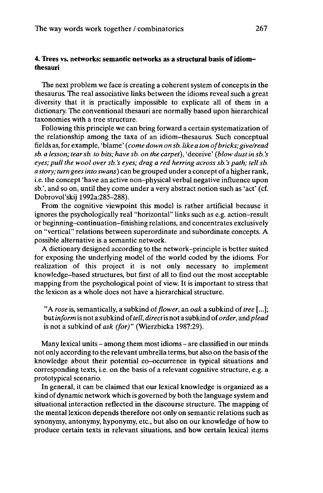# **4. Trees** vs. **networks: semantic networks as a structural basis of idiomthesauri**

The next problem we face is creating a coherent system of concepts in the thesaurus. The real associative links between the idioms reveal such a great diversity that it is practically impossible to explicate all of them in a dictionary. The conventional thesauri are normally based upon hierarchical taxonomies with a tree structure.

Following this principle we can bring forward a certain systematization of the relationship among the taxa of an idiom-thesaurus. Such conceptual fields as, for example, 'blame' *(come down on sb. like <sup>a</sup> ton ofbricks; give/read sb. a lesson; tearsb. to bits; have sb. on the carpet),* 'deceive' *(blow dustin sb. 's eyes; pull the wool over sb. 's eyes; drag a red herring across sb. 's path; tell sb. a story; turn gees into swans)* can be grouped under a concept of a higherrank, i.e. the concept 'have an active non-physical verbal negative influence upon sb.', and so on, until they come under a very abstract notion such as 'act' (cf. Dobrovol'skij 1992a:285-288).

From the cognitive viewpoint this model is rather artificial because it ignores the psychologically real "horizontal" links such as e.g. action-result or beginning-continuation-finishing relations, and concentrates exclusively on "vertical" relations between superordinate and subordinate concepts. A possible alternative is a semantic network.

A dictionary designed according to the network-principle is better suited for exposing the underlying model of the world coded by the idioms. For realization of this project it is not only necessary to implement knowledge-based structures, but first of all to find out the most acceptable mapping from the psychological point of view. It is important to stress that the lexicon as a whole does not have a hierarchical structure.

"A *rose* is, semantically, a subkind of*flower,* an *oak* a subkind of *tree* [...]; but*inform* is not a subkind of*tell, direct*is not a subkind of*order, andplead* is not a subkind of *ask (for)"* (Wierzbicka 1987:29).

Many lexical units- among them most idioms- are classified in our minds not only according to the relevant umbrella terms, but also on the basis of the knowledge about their potential co-occurrence in typical situations and corresponding texts, i.e. on the basis of a relevant cognitive structure, e.g. a prototypical scenario.

In general, it can be claimed that our lexical knowledge is organized as a kind of dynamic network which is governed by both the language system and situational interaction reflected in the discourse structure. The mapping of the mental lexicon depends therefore not only on semantic relations such as synonymy, antonymy, hyponymy, etc., but also on our knowledge of how to produce certain texts in relevant situations, and how certain lexical items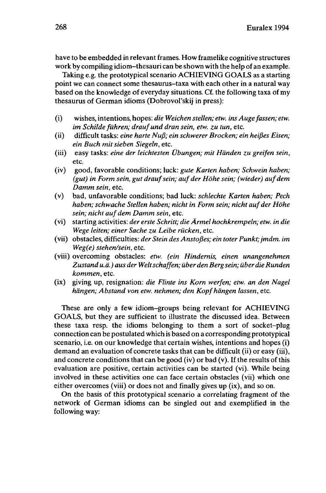have to be embedded in relevant frames. How framelike cognitive structures work by compiling idiom-thesauri can be shown with the help of an example.

Taking e.g. the prototypical scenario ACHIEVING GOALS as a starting point we can connect some thesaurus-taxa with each other in a natural way based on the knowledge of everyday situations. Cf. the following taxa of my thesaurus of German idioms (Dobrovol'skij in press):

- (i) wishes, intentions, hopes: *die Weichen stellen; etw. ins Augefassen; etw. im Schilde führen; drauf und dran sein, etw. zu tun,* etc.
- (ii) difficult tasks: *eine harte Nuß; ein schwerer Brocken; ein heißes Eisen; ein Buch mit sieben Siegeln,* etc.
- (iii) easy tasks: *eine der leichtesten Übungen; mit Händen zu greifen sein,* etc.
- (iv) good, favorable conditions; luck: *gute Karten haben; Schwein haben; (gut) in Form sein, gut draufsein; auf der Höhe sein; (wieder) aufdem Damm sein,* etc.
- (v) bad, unfavorable conditions; bad luck: *schlechte Karten haben; Pech haben; schwache Stellen haben; nicht in Form sein; nicht auf der Höhe sein; nicht auf dem Damm sein,* etc.
- (vi) starting activities: *der erste Schritt; die Ärmel hochkrempeln; etw. in die Wege leiten; einer Sache zu Leibe rücken,* etc.
- (vii) obstacles, difficulties: *der Stein des Anstoßes; ein toter Punkt;jmdm. im Weg(e) stehen/sein,* etc.
- (viii) overcoming obstacles: *etw. (ein Hindernis, einen unangenehmen Zustand u.ä.)aus der Weltschaffen; über den Bergsein; über die Runden kommen,* etc.
- (ix) giving up, resignation: *die Flinte ins Korn werfen; etw. an den Nagel hängen; Abstand von etw. nehmen; den Kopfhängen lassen,* etc.

These are only a few idiom-groups being relevant for ACHIEVING GOALS, but they are sufficient to illustrate the discussed idea. Between these taxa resp. the idioms belonging to them a sort of socket-plug connection can be postulated which is based on a corresponding prototypical scenario, i.e. on our knowledge that certain wishes, intentions and hopes (i) demand an evaluation of concrete tasks that can be difficult (ii) or easy (iii), and concrete conditions that can be good (iv) or bad (v). If the results of this evaluation are positive, certain activities can be started (vi). While being involved in these activities one can face certain obstacles (vii) which one either overcomes (viii) or does not and finally gives up (ix), and so on.

On the basis of this prototypical scenario a correlating fragment of the network of German idioms can be singled out and exemplified in the following way: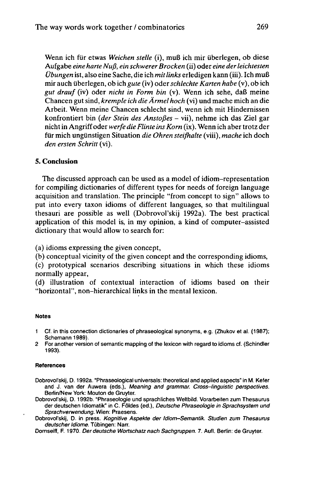Wenn ich für etwas *Weichen stelle* (i), muß ich mir überlegen, ob diese Aufgabe *eine harte Nuß, ein schwererBrocken* (ii) oder *eine derleichtesten Übungen* ist, also eine Sache, die ich *mitlinks* erledigen kann (iii). Ich muß mir auch überlegen, ob ich *gute* (iv) oder*schlechte Karten habe* (v), ob ich *gut drauf* (iv) oder *nicht in Form bin* (v). Wenn ich sehe, daß meine Chancen gutsind, *kremple ich die Ärmel hoch* (vi) und mache mich an die Arbeit. Wenn meine Chancen schlecht sind, wenn ich mit Hindernissen konfrontiert bin *(der Stein des Anstoßes -* vii), nehme ich das Ziel gar nichtin Angriffoder *werfe die Flinte insKorn* (ix). Wenn ich aber trotz der für mich ungünstigen Situation *die Ohren steifhalte* (viii), *mache* ich doch *den ersten Schritt* (vi).

### **5. Conclusion**

The discussed approach can be used as a model of idiom-representation for compiling dictionaries of different types for needs of foreign language acquisition and translation. The principle "from concept to sign" allows to put into every taxon idioms of different languages, so that multilingual thesauri are possible as well (Dobrovol'skij 1992a). The best practical application of this model is, in my opinion, a kind of computer-assisted dictionary that would allow to search for:

(a) idioms expressing the given concept,

(b) conceptual vicinity of the given concept and the corresponding idioms,

(c) prototypical scenarios describing situations in which these idioms normally appear,

(d) illustration of contextual interaction of idioms based on their "horizontal", non-hierarchical links in the mental lexicon.

#### **Notes**

- <sup>1</sup> Cf. in this connection dictionaries of phraseological synonyms, e.g. (Zhukov et al. (1987); Schemann 1989).
- 2 For another version of semantic mapping of the lexicon with regard to idioms cf. (Schindler 1993).

#### **References**

- Dobrovol'skij, D. 1992a. "Phraseological universals: theoretical and applied aspects" in M. Kefer and J. van der Auwera (eds.), Meaning and grammar. Cross-linguistic perspectives. Berlin/New York: Mouton de Gruyter.
- Dobrovol'skij, D. 1992b. "Phraseologie und sprachliches Weltbild. Vorarbeiten zum Thesaurus der deutschen Idiomatik" in C. Földes (ed.), Deutsche Phraseologie in Sprachsystem und Sprachverwendung. Wien: Praesens.
- Dobrovol'skij, D. in press. Kognitive Aspekte der Idiom-Semantik. Studien zum Thesaurus deutscher Idiome. Tübingen: Narr.

Dornseiff, F. 1970. Der deutsche Wortschatz nach Sachgruppen. 7. Aufl. Berlin: de Gruyter.